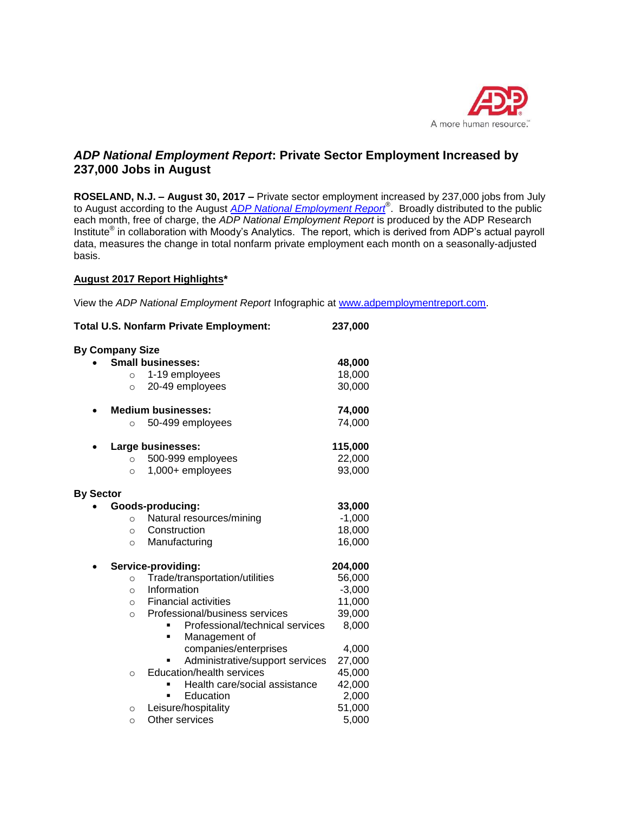

# *ADP National Employment Report***: Private Sector Employment Increased by 237,000 Jobs in August**

**ROSELAND, N.J. – August 30, 2017 –** Private sector employment increased by 237,000 jobs from July to August according to the August *[ADP National Employment Report](http://www.adpemploymentreport.com/)*® . Broadly distributed to the public each month, free of charge, the *ADP National Employment Report* is produced by the ADP Research Institute<sup>®</sup> in collaboration with Moody's Analytics. The report, which is derived from ADP's actual payroll data, measures the change in total nonfarm private employment each month on a seasonally-adjusted basis.

## **August 2017 Report Highlights\***

View the *ADP National Employment Report* Infographic at [www.adpemploymentreport.com.](http://www.adpemploymentreport.com/)

| <b>Total U.S. Nonfarm Private Employment:</b> | 237,000  |
|-----------------------------------------------|----------|
| <b>By Company Size</b>                        |          |
| <b>Small businesses:</b>                      | 48,000   |
| 1-19 employees<br>$\circ$                     | 18,000   |
| 20-49 employees<br>$\circ$                    | 30,000   |
| <b>Medium businesses:</b>                     | 74,000   |
| 50-499 employees<br>$\circ$                   | 74,000   |
| Large businesses:                             | 115,000  |
| 500-999 employees<br>$\circ$                  | 22,000   |
| 1,000+ employees<br>$\circ$                   | 93,000   |
| <b>By Sector</b>                              |          |
| Goods-producing:                              | 33,000   |
| Natural resources/mining<br>$\circ$           | $-1,000$ |
| Construction<br>$\circ$                       | 18,000   |
| Manufacturing<br>$\circ$                      | 16,000   |
| Service-providing:                            | 204,000  |
| Trade/transportation/utilities<br>$\circ$     | 56,000   |
| Information<br>$\circ$                        | $-3,000$ |
| <b>Financial activities</b><br>$\circ$        | 11,000   |
| Professional/business services<br>$\circ$     | 39,000   |
| Professional/technical services               | 8,000    |
| Management of<br>٠                            |          |
| companies/enterprises                         | 4,000    |
| Administrative/support services               | 27,000   |
| Education/health services<br>$\circ$          | 45,000   |
| Health care/social assistance                 | 42,000   |
| Education                                     | 2,000    |
| Leisure/hospitality<br>$\circ$                | 51,000   |
| Other services<br>$\circ$                     | 5,000    |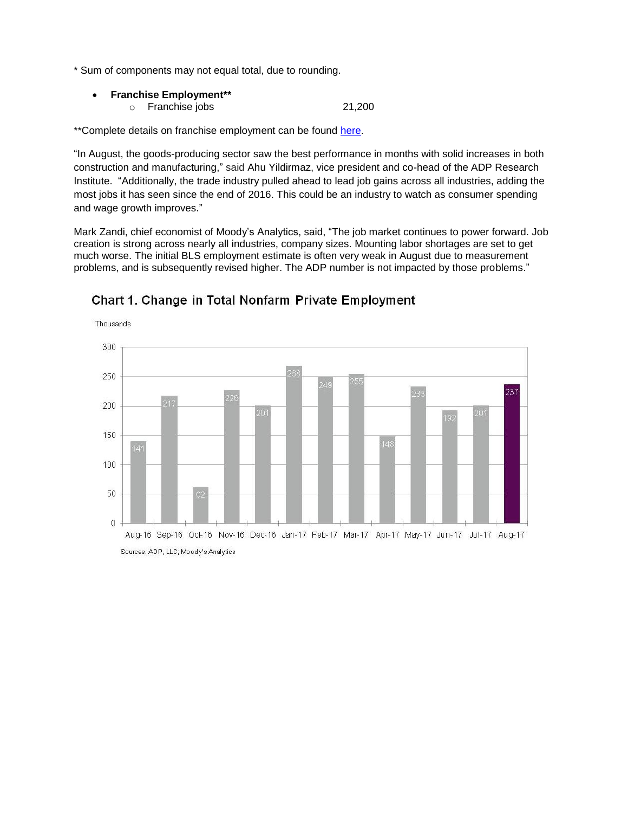\* Sum of components may not equal total, due to rounding.

- **Franchise Employment\*\***
	- o Franchise jobs 21,200

\*\*Complete details on franchise employment can be found [here.](http://www.adpemploymentreport.com/)

"In August, the goods-producing sector saw the best performance in months with solid increases in both construction and manufacturing," said Ahu Yildirmaz, vice president and co-head of the ADP Research Institute. "Additionally, the trade industry pulled ahead to lead job gains across all industries, adding the most jobs it has seen since the end of 2016. This could be an industry to watch as consumer spending and wage growth improves."

Mark Zandi, chief economist of Moody's Analytics, said, "The job market continues to power forward. Job creation is strong across nearly all industries, company sizes. Mounting labor shortages are set to get much worse. The initial BLS employment estimate is often very weak in August due to measurement problems, and is subsequently revised higher. The ADP number is not impacted by those problems."



# Chart 1. Change in Total Nonfarm Private Employment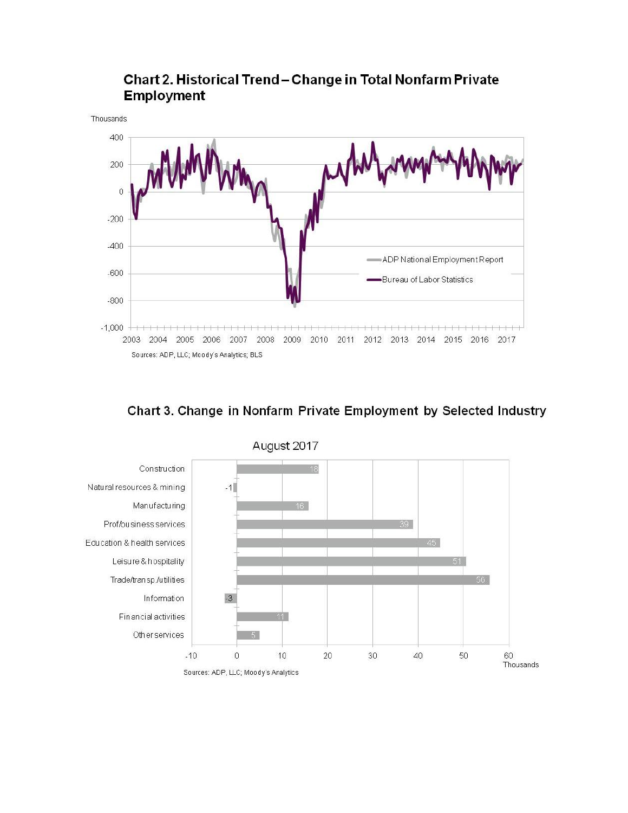

# Chart 2. Historical Trend-Change in Total Nonfarm Private **Employment**

Chart 3. Change in Nonfarm Private Employment by Selected Industry



August 2017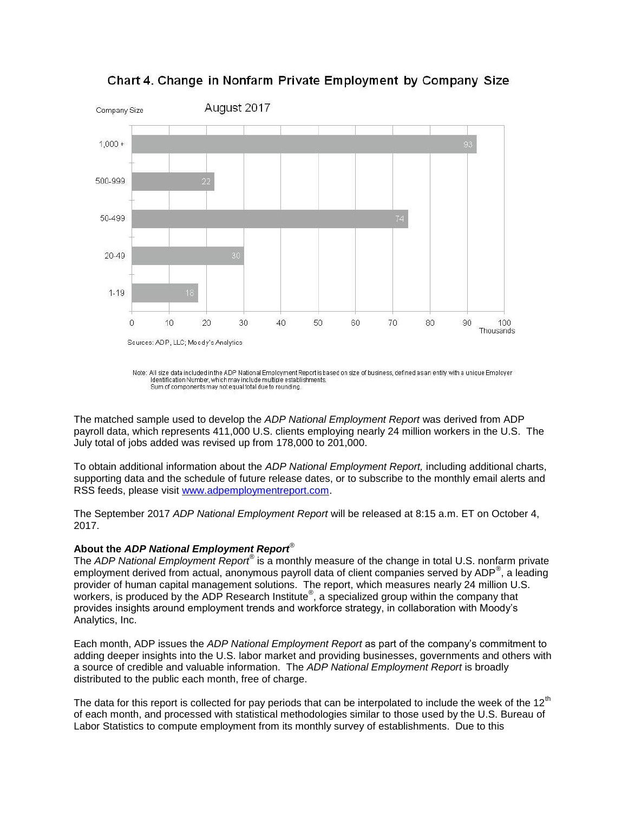

Chart 4. Change in Nonfarm Private Employment by Company Size

The matched sample used to develop the *ADP National Employment Report* was derived from ADP payroll data, which represents 411,000 U.S. clients employing nearly 24 million workers in the U.S. The July total of jobs added was revised up from 178,000 to 201,000.

To obtain additional information about the *ADP National Employment Report,* including additional charts, supporting data and the schedule of future release dates, or to subscribe to the monthly email alerts and RSS feeds, please visit [www.adpemploymentreport.com.](http://www.adpemploymentreport.com/)

The September 2017 *ADP National Employment Report* will be released at 8:15 a.m. ET on October 4, 2017.

### **About the** *ADP National Employment Report*®

The *ADP National Employment Report®* is a monthly measure of the change in total U.S. nonfarm private employment derived from actual, anonymous payroll data of client companies served by ADP®, a leading provider of human capital management solutions. The report, which measures nearly 24 million U.S. workers, is produced by the ADP Research Institute<sup>®</sup>, a specialized group within the company that provides insights around employment trends and workforce strategy, in collaboration with Moody's Analytics, Inc.

Each month, ADP issues the *ADP National Employment Report* as part of the company's commitment to adding deeper insights into the U.S. labor market and providing businesses, governments and others with a source of credible and valuable information. The *ADP National Employment Report* is broadly distributed to the public each month, free of charge.

The data for this report is collected for pay periods that can be interpolated to include the week of the  $12<sup>th</sup>$ of each month, and processed with statistical methodologies similar to those used by the U.S. Bureau of Labor Statistics to compute employment from its monthly survey of establishments. Due to this

Note: All size data included in the ADP National Employment Report is based on size of business, defined as an entity with a unique Employer Identification Number, which may include multiple establishments. Sum of components may not equal total due to rounding.